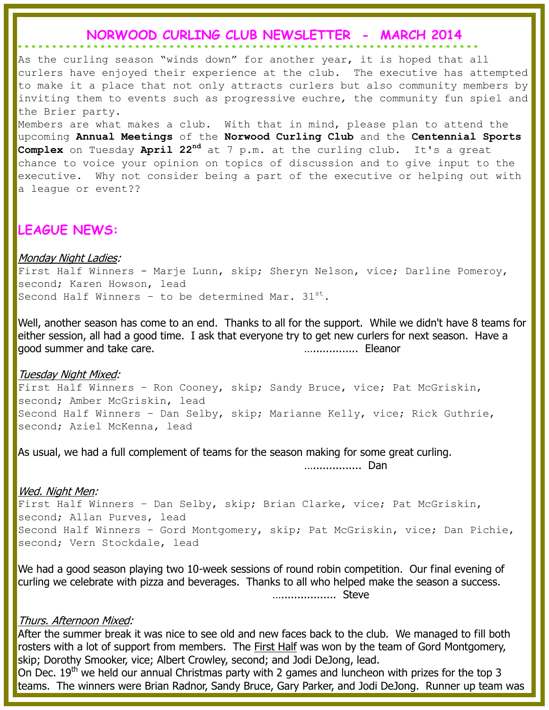### **NORWOOD CURLING CLUB NEWSLETTER - MARCH 2014**

**\* \* \* \* \* \* \* \* \* \* \* \* \* \* \* \* \* \* \* \* \* \* \* \* \* \* \* \* \* \* \* \* \* \* \* \* \* \* \* \* \* \* \* \* \* \* \* \* \* \* \* \* \* \* \* \* \* \* \* \* \* \* \* \* \* \* \***

As the curling season "winds down" for another year, it is hoped that all curlers have enjoyed their experience at the club. The executive has attempted to make it a place that not only attracts curlers but also community members by inviting them to events such as progressive euchre, the community fun spiel and the Brier party.

Members are what makes a club. With that in mind, please plan to attend the upcoming **Annual Meetings** of the **Norwood Curling Club** and the **Centennial Sports Complex** on Tuesday **April 22nd** at 7 p.m. at the curling club. It's a great chance to voice your opinion on topics of discussion and to give input to the executive. Why not consider being a part of the executive or helping out with a leaque or event??

## **LEAGUE NEWS:**

#### Monday Night Ladies:

First Half Winners - Marje Lunn, skip; Sheryn Nelson, vice; Darline Pomeroy, second; Karen Howson, lead Second Half Winners - to be determined Mar.  $31^{st}$ .

Well, another season has come to an end. Thanks to all for the support. While we didn't have 8 teams for either session, all had a good time. I ask that everyone try to get new curlers for next season. Have a good summer and take care. ….............. Eleanor

#### Tuesday Night Mixed:

First Half Winners - Ron Cooney, skip; Sandy Bruce, vice; Pat McGriskin, second; Amber McGriskin, lead Second Half Winners – Dan Selby, skip; Marianne Kelly, vice; Rick Guthrie, second; Aziel McKenna, lead

As usual, we had a full complement of teams for the season making for some great curling.

…............... Dan

#### Wed. Night Men:

First Half Winners - Dan Selby, skip; Brian Clarke, vice; Pat McGriskin, second; Allan Purves, lead Second Half Winners – Gord Montgomery, skip; Pat McGriskin, vice; Dan Pichie, second; Vern Stockdale, lead

We had a good season playing two 10-week sessions of round robin competition. Our final evening of curling we celebrate with pizza and beverages. Thanks to all who helped make the season a success. …................. Steve

#### Thurs. Afternoon Mixed:

After the summer break it was nice to see old and new faces back to the club. We managed to fill both rosters with a lot of support from members. The First Half was won by the team of Gord Montgomery, skip; Dorothy Smooker, vice; Albert Crowley, second; and Jodi DeJong, lead.

On Dec.  $19<sup>th</sup>$  we held our annual Christmas party with 2 games and luncheon with prizes for the top 3 teams. The winners were Brian Radnor, Sandy Bruce, Gary Parker, and Jodi DeJong. Runner up team was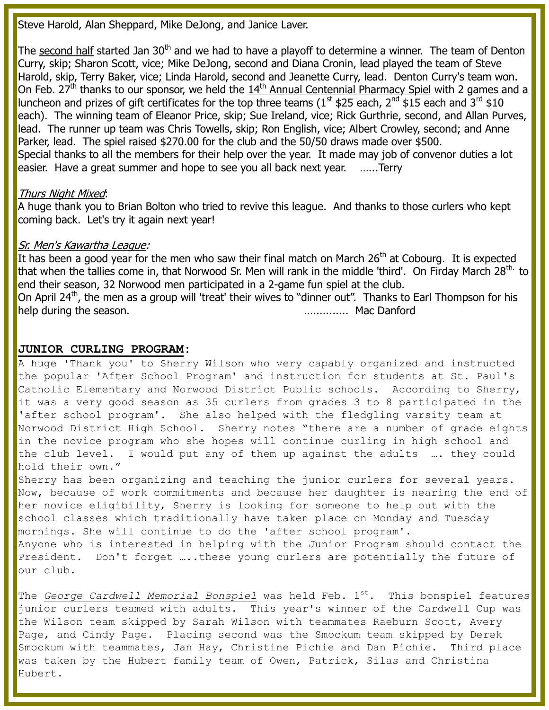Steve Harold, Alan Sheppard, Mike DeJong, and Janice Laver.

The second half started Jan 30<sup>th</sup> and we had to have a playoff to determine a winner. The team of Denton Curry, skip; Sharon Scott, vice; Mike DeJong, second and Diana Cronin, lead played the team of Steve Harold, skip, Terry Baker, vice; Linda Harold, second and Jeanette Curry, lead. Denton Curry's team won. On Feb. 27<sup>th</sup> thanks to our sponsor, we held the  $14<sup>th</sup>$  Annual Centennial Pharmacy Spiel with 2 games and a luncheon and prizes of gift certificates for the top three teams (1<sup>st</sup> \$25 each, 2<sup>nd</sup> \$15 each and 3<sup>rd</sup> \$10 each). The winning team of Eleanor Price, skip; Sue Ireland, vice; Rick Gurthrie, second, and Allan Purves, lead. The runner up team was Chris Towells, skip; Ron English, vice; Albert Crowley, second; and Anne Parker, lead. The spiel raised \$270.00 for the club and the 50/50 draws made over \$500. Special thanks to all the members for their help over the year. It made may job of convenor duties a lot easier. Have a great summer and hope to see you all back next year. …...Terry

#### Thurs Night Mixed:

A huge thank you to Brian Bolton who tried to revive this league. And thanks to those curlers who kept coming back. Let's try it again next year!

#### Sr. Men's Kawartha League:

It has been a good year for the men who saw their final match on March  $26<sup>th</sup>$  at Cobourg. It is expected that when the tallies come in, that Norwood Sr. Men will rank in the middle 'third'. On Firday March 28<sup>th.</sup> to end their season, 32 Norwood men participated in a 2-game fun spiel at the club. On April 24<sup>th</sup>, the men as a group will 'treat' their wives to "dinner out". Thanks to Earl Thompson for his help during the season. The season is a season of the season of the season is a season of the season of the season of the season of the season of the season of the season of the season of the season of the season of the se

#### **JUNIOR CURLING PROGRAM:**

A huge 'Thank you' to Sherry Wilson who very capably organized and instructed the popular 'After School Program' and instruction for students at St. Paul's Catholic Elementary and Norwood District Public schools. According to Sherry, it was a very good season as 35 curlers from grades 3 to 8 participated in the 'after school program'. She also helped with the fledgling varsity team at Norwood District High School. Sherry notes "there are a number of grade eights in the novice program who she hopes will continue curling in high school and the club level. I would put any of them up against the adults …. they could hold their own."

Sherry has been organizing and teaching the junior curlers for several years. Now, because of work commitments and because her daughter is nearing the end of her novice eligibility, Sherry is looking for someone to help out with the school classes which traditionally have taken place on Monday and Tuesday mornings. She will continue to do the 'after school program'. Anyone who is interested in helping with the Junior Program should contact the President. Don't forget ....these young curlers are potentially the future of our club.

The *George Cardwell Memorial Bonspiel* was held Feb. 1<sup>st</sup>. This bonspiel features junior curlers teamed with adults. This year's winner of the Cardwell Cup was the Wilson team skipped by Sarah Wilson with teammates Raeburn Scott, Avery Page, and Cindy Page. Placing second was the Smockum team skipped by Derek Smockum with teammates, Jan Hay, Christine Pichie and Dan Pichie. Third place was taken by the Hubert family team of Owen, Patrick, Silas and Christina Hubert.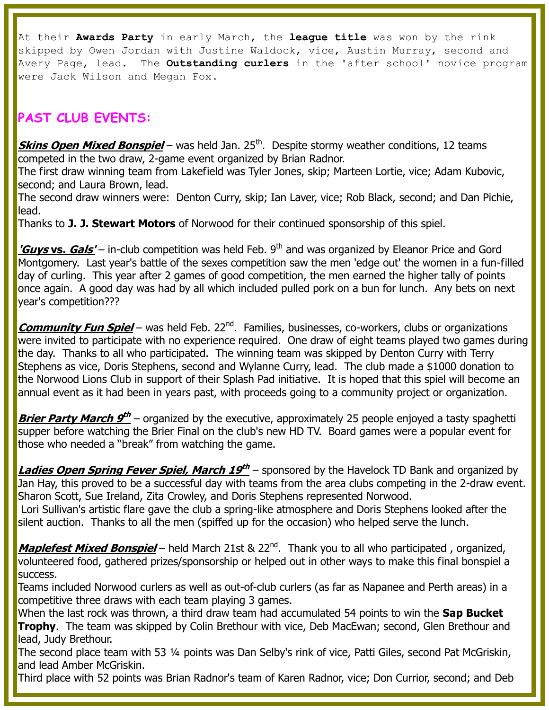At their **Awards Party** in early March, the **league title** was won by the rink skipped by Owen Jordan with Justine Waldock, vice, Austin Murray, second and Avery Page, lead. The **Outstanding curlers** in the 'after school' novice program were Jack Wilson and Megan Fox.

# **PAST CLUB EVENTS:**

**Skins Open Mixed Bonspiel** – was held Jan. 25<sup>th</sup>. Despite stormy weather conditions, 12 teams competed in the two draw, 2-game event organized by Brian Radnor.

The first draw winning team from Lakefield was Tyler Jones, skip; Marteen Lortie, vice; Adam Kubovic, second; and Laura Brown, lead.

The second draw winners were: Denton Curry, skip; Ian Laver, vice; Rob Black, second; and Dan Pichie, lead.

Thanks to **J. J. Stewart Motors** of Norwood for their continued sponsorship of this spiel.

**'Guys vs. Gals'** – in-club competition was held Feb. 9<sup>th</sup> and was organized by Eleanor Price and Gord Montgomery. Last year's battle of the sexes competition saw the men 'edge out' the women in a fun-filled day of curling. This year after 2 games of good competition, the men earned the higher tally of points once again. A good day was had by all which included pulled pork on a bun for lunch. Any bets on next year's competition???

**Community Fun Spiel** – was held Feb. 22<sup>nd</sup>. Families, businesses, co-workers, clubs or organizations were invited to participate with no experience required. One draw of eight teams played two games during the day. Thanks to all who participated. The winning team was skipped by Denton Curry with Terry Stephens as vice, Doris Stephens, second and Wylanne Curry, lead. The club made a \$1000 donation to the Norwood Lions Club in support of their Splash Pad initiative. It is hoped that this spiel will become an annual event as it had been in years past, with proceeds going to a community project or organization.

**Brier Party March 9th** – organized by the executive, approximately 25 people enjoyed a tasty spaghetti supper before watching the Brier Final on the club's new HD TV. Board games were a popular event for those who needed a "break" from watching the game.

Ladies Open Spring Fever Spiel, March 19<sup>th</sup> – sponsored by the Havelock TD Bank and organized by Jan Hay, this proved to be a successful day with teams from the area clubs competing in the 2-draw event. Sharon Scott, Sue Ireland, Zita Crowley, and Doris Stephens represented Norwood.

Lori Sullivan's artistic flare gave the club a spring-like atmosphere and Doris Stephens looked after the silent auction. Thanks to all the men (spiffed up for the occasion) who helped serve the lunch.

**Maplefest Mixed Bonspiel** – held March 21st & 22<sup>nd</sup>. Thank you to all who participated, organized, volunteered food, gathered prizes/sponsorship or helped out in other ways to make this final bonspiel a success.

Teams included Norwood curlers as well as out-of-club curlers (as far as Napanee and Perth areas) in a competitive three draws with each team playing 3 games.

When the last rock was thrown, a third draw team had accumulated 54 points to win the **Sap Bucket Trophy**. The team was skipped by Colin Brethour with vice, Deb MacEwan; second, Glen Brethour and lead, Judy Brethour.

The second place team with 53 ¼ points was Dan Selby's rink of vice, Patti Giles, second Pat McGriskin, and lead Amber McGriskin.

Third place with 52 points was Brian Radnor's team of Karen Radnor, vice; Don Currior, second; and Deb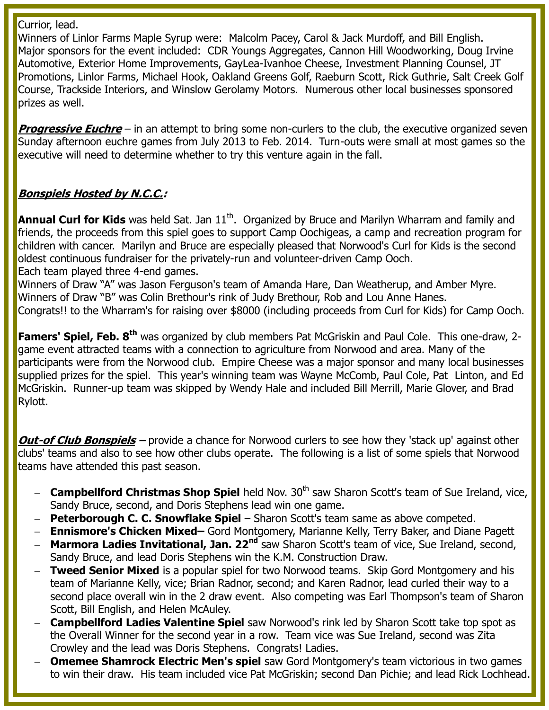Currior, lead.

Winners of Linlor Farms Maple Syrup were: Malcolm Pacey, Carol & Jack Murdoff, and Bill English. Major sponsors for the event included: CDR Youngs Aggregates, Cannon Hill Woodworking, Doug Irvine Automotive, Exterior Home Improvements, GayLea-Ivanhoe Cheese, Investment Planning Counsel, JT Promotions, Linlor Farms, Michael Hook, Oakland Greens Golf, Raeburn Scott, Rick Guthrie, Salt Creek Golf Course, Trackside Interiors, and Winslow Gerolamy Motors. Numerous other local businesses sponsored prizes as well.

**Progressive Euchre** – in an attempt to bring some non-curlers to the club, the executive organized seven Sunday afternoon euchre games from July 2013 to Feb. 2014. Turn-outs were small at most games so the executive will need to determine whether to try this venture again in the fall.

### **Bonspiels Hosted by N.C.C.:**

**Annual Curl for Kids** was held Sat. Jan 11<sup>th</sup>. Organized by Bruce and Marilyn Wharram and family and friends, the proceeds from this spiel goes to support Camp Oochigeas, a camp and recreation program for children with cancer. Marilyn and Bruce are especially pleased that Norwood's Curl for Kids is the second oldest continuous fundraiser for the privately-run and volunteer-driven Camp Ooch. Each team played three 4-end games.

Winners of Draw "A" was Jason Ferguson's team of Amanda Hare, Dan Weatherup, and Amber Myre. Winners of Draw "B" was Colin Brethour's rink of Judy Brethour, Rob and Lou Anne Hanes. Congrats!! to the Wharram's for raising over \$8000 (including proceeds from Curl for Kids) for Camp Ooch.

**Famers' Spiel, Feb. 8th** was organized by club members Pat McGriskin and Paul Cole. This one-draw, 2 game event attracted teams with a connection to agriculture from Norwood and area. Many of the participants were from the Norwood club. Empire Cheese was a major sponsor and many local businesses supplied prizes for the spiel. This year's winning team was Wayne McComb, Paul Cole, Pat Linton, and Ed McGriskin. Runner-up team was skipped by Wendy Hale and included Bill Merrill, Marie Glover, and Brad Rylott.

**Out-of Club Bonspiels –** provide a chance for Norwood curlers to see how they 'stack up' against other clubs' teams and also to see how other clubs operate. The following is a list of some spiels that Norwood teams have attended this past season.

- **Campbellford Christmas Shop Spiel** held Nov. 30<sup>th</sup> saw Sharon Scott's team of Sue Ireland, vice, Sandy Bruce, second, and Doris Stephens lead win one game.
- **Peterborough C. C. Snowflake Spiel** Sharon Scott's team same as above competed.
- **Ennismore's Chicken Mixed–** Gord Montgomery, Marianne Kelly, Terry Baker, and Diane Pagett
- **Marmora Ladies Invitational, Jan. 22<sup>nd</sup> saw Sharon Scott's team of vice, Sue Ireland, second,** Sandy Bruce, and lead Doris Stephens win the K.M. Construction Draw.
- **Tweed Senior Mixed** is a popular spiel for two Norwood teams. Skip Gord Montgomery and his team of Marianne Kelly, vice; Brian Radnor, second; and Karen Radnor, lead curled their way to a second place overall win in the 2 draw event. Also competing was Earl Thompson's team of Sharon Scott, Bill English, and Helen McAuley.
- **Campbellford Ladies Valentine Spiel** saw Norwood's rink led by Sharon Scott take top spot as the Overall Winner for the second year in a row. Team vice was Sue Ireland, second was Zita Crowley and the lead was Doris Stephens. Congrats! Ladies.
- **Omemee Shamrock Electric Men's spiel** saw Gord Montgomery's team victorious in two games to win their draw. His team included vice Pat McGriskin; second Dan Pichie; and lead Rick Lochhead.